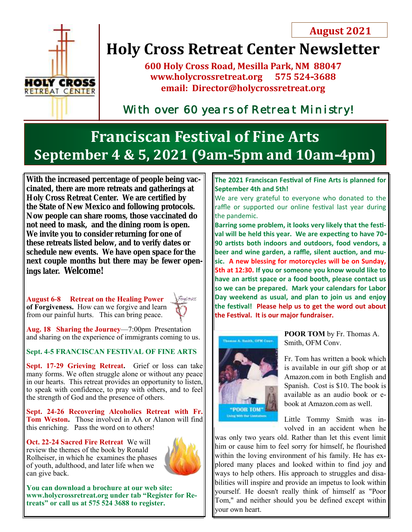

# **Holy Cross Retreat Center Newsletter**

**600 Holy Cross Road, Mesilla Park, NM 88047 www.holycrossretreat.org 575 524-3688 email: Director@holycrossretreat.org**

*With over 60 years of Retreat Ministry!* 

## **Franciscan Festival of Fine Arts September 4 & 5, 2021 (9am-5pm and 10am-4pm)**

**With the increased percentage of people being vaccinated, there are more retreats and gatherings at Holy Cross Retreat Center. We are certified by the State of New Mexico and following protocols. Now people can share rooms, those vaccinated do not need to mask, and the dining room is open. We invite you to consider returning for one of these retreats listed below, and to verify dates or schedule new events. We have open space for the next couple months but there may be fewer openings later. Welcome!**

**August 6-8 Retreat on the Healing Power of Forgiveness.** How can we forgive and learn from our painful hurts. This can bring peace.



**Aug. 18 Sharing the Journey**—7:00pm Presentation and sharing on the experience of immigrants coming to us.

**Sept. 4-5 FRANCISCAN FESTIVAL OF FINE ARTS**

Sept. 17-29 Grieving Retreat. Grief or loss can take many forms. We often struggle alone or without any peace in our hearts. This retreat provides an opportunity to listen, to speak with confidence, to pray with others, and to feel the strength of God and the presence of others.

**Sept. 24-26 Recovering Alcoholics Retreat with Fr. Tom Weston.** Those involved in AA or Alanon will find this enriching. Pass the word on to others!

**Oct. 22-24 Sacred Fire Retreat** We will review the themes of the book by Ronald Rolheiser, in which he examines the phases of youth, adulthood, and later life when we can give back.



**You can download a brochure at our web site: www.holycrossretreat.org under tab "Register for Retreats" or call us at 575 524 3688 to register.**

### **The 2021 Franciscan Festival of Fine Arts is planned for September 4th and 5th!**

We are very grateful to everyone who donated to the raffle or supported our online festival last year during the pandemic.

**Barring some problem, it looks very likely that the festival will be held this year. We are expecting to have 70- 90 artists both indoors and outdoors, food vendors, a beer and wine garden, a raffle, silent auction, and music. A new blessing for motorcycles will be on Sunday, 5th at 12:30. If you or someone you know would like to have an artist space or a food booth, please contact us so we can be prepared. Mark your calendars for Labor Day weekend as usual, and plan to join us and enjoy the festival! Please help us to get the word out about the Festival. It is our major fundraiser.**



**POOR TOM** by Fr. Thomas A. Smith, OFM Conv.

Fr. Tom has written a book which is available in our gift shop or at Amazon.com in both English and Spanish. Cost is \$10. The book is available as an audio book or ebook at Amazon.com as well.

Little Tommy Smith was involved in an accident when he

was only two years old. Rather than let this event limit him or cause him to feel sorry for himself, he flourished within the loving environment of his family. He has explored many places and looked within to find joy and ways to help others. His approach to struggles and disabilities will inspire and provide an impetus to look within yourself. He doesn't really think of himself as "Poor Tom," and neither should you be defined except within your own heart.